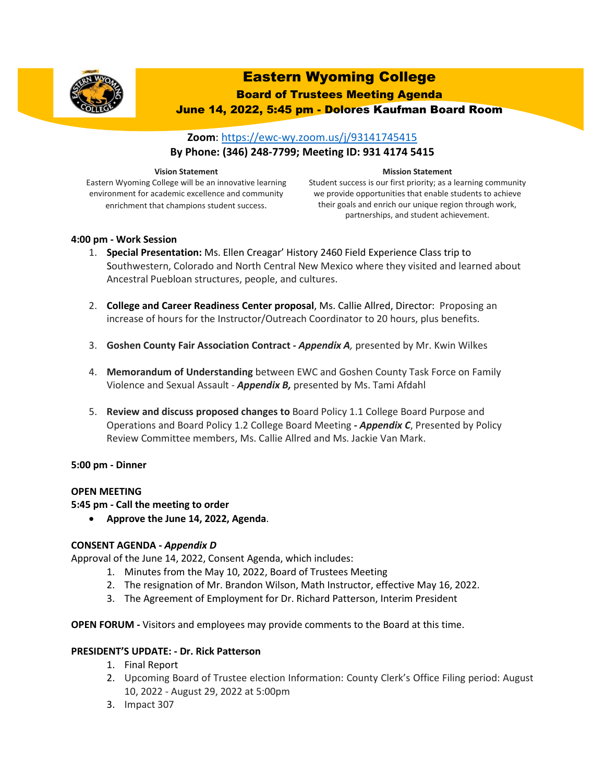

# Eastern Wyoming College

Board of Trustees Meeting Agenda

June 14, 2022, 5:45 pm - Dolores Kaufman Board Room

## **Zoom**:<https://ewc-wy.zoom.us/j/93141745415> **By Phone: (346) 248-7799; Meeting ID: 931 4174 5415**

#### **Vision Statement**

Eastern Wyoming College will be an innovative learning environment for academic excellence and community enrichment that champions student success.

#### **Mission Statement**

Student success is our first priority; as a learning community we provide opportunities that enable students to achieve their goals and enrich our unique region through work, partnerships, and student achievement.

## **4:00 pm - Work Session**

- 1. **Special Presentation:** Ms. Ellen Creagar' History 2460 Field Experience Class trip to Southwestern, Colorado and North Central New Mexico where they visited and learned about Ancestral Puebloan structures, people, and cultures.
- 2. **College and Career Readiness Center proposal**, Ms. Callie Allred, Director: Proposing an increase of hours for the Instructor/Outreach Coordinator to 20 hours, plus benefits.
- 3. **Goshen County Fair Association Contract -** *Appendix A,* presented by Mr. Kwin Wilkes
- 4. **Memorandum of Understanding** between EWC and Goshen County Task Force on Family Violence and Sexual Assault - *Appendix B,* presented by Ms. Tami Afdahl
- 5. **Review and discuss proposed changes to** Board Policy 1.1 College Board Purpose and Operations and Board Policy 1.2 College Board Meeting *- Appendix C*, Presented by Policy Review Committee members, Ms. Callie Allred and Ms. Jackie Van Mark.

## **5:00 pm - Dinner**

## **OPEN MEETING**

**5:45 pm - Call the meeting to order**

• **Approve the June 14, 2022, Agenda**.

## **CONSENT AGENDA -** *Appendix D*

Approval of the June 14, 2022, Consent Agenda, which includes:

- 1. Minutes from the May 10, 2022, Board of Trustees Meeting
- 2. The resignation of Mr. Brandon Wilson, Math Instructor, effective May 16, 2022.
- 3. The Agreement of Employment for Dr. Richard Patterson, Interim President

**OPEN FORUM -** Visitors and employees may provide comments to the Board at this time.

## **PRESIDENT'S UPDATE: - Dr. Rick Patterson**

- 1. Final Report
- 2. Upcoming Board of Trustee election Information: County Clerk's Office Filing period: August 10, 2022 - August 29, 2022 at 5:00pm
- 3. Impact 307